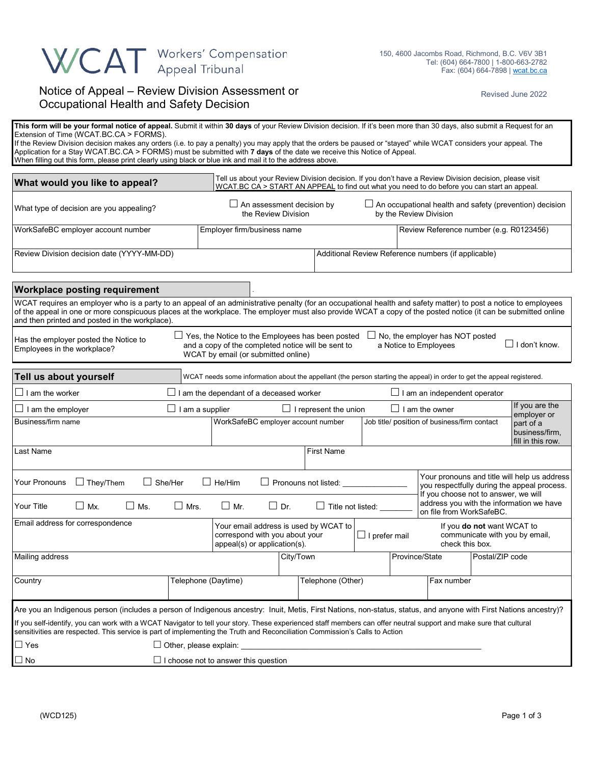## WCAT Workers' Compensation

## Notice of Appeal – Review Division Assessment or Occupational Health and Safety Decision

Revised June 2022

| This form will be your formal notice of appeal. Submit it within 30 days of your Review Division decision. If it's been more than 30 days, also submit a Request for an<br>Extension of Time (WCAT.BC.CA > FORMS).<br>If the Review Division decision makes any orders (i.e. to pay a penalty) you may apply that the orders be paused or "stayed" while WCAT considers your appeal. The<br>Application for a Stay WCAT.BC.CA > FORMS) must be submitted with 7 days of the date we receive this Notice of Appeal.<br>When filling out this form, please print clearly using black or blue ink and mail it to the address above. |                                                                              |                                                                                                         |                              |                   |                                                                                                                                                                                                             |                                                                                                                                                                                                         |  |  |  |  |
|----------------------------------------------------------------------------------------------------------------------------------------------------------------------------------------------------------------------------------------------------------------------------------------------------------------------------------------------------------------------------------------------------------------------------------------------------------------------------------------------------------------------------------------------------------------------------------------------------------------------------------|------------------------------------------------------------------------------|---------------------------------------------------------------------------------------------------------|------------------------------|-------------------|-------------------------------------------------------------------------------------------------------------------------------------------------------------------------------------------------------------|---------------------------------------------------------------------------------------------------------------------------------------------------------------------------------------------------------|--|--|--|--|
| What would you like to appeal?                                                                                                                                                                                                                                                                                                                                                                                                                                                                                                                                                                                                   |                                                                              |                                                                                                         |                              |                   |                                                                                                                                                                                                             | Tell us about your Review Division decision. If you don't have a Review Division decision, please visit<br>WCAT.BC CA > START AN APPEAL to find out what you need to do before you can start an appeal. |  |  |  |  |
| What type of decision are you appealing?                                                                                                                                                                                                                                                                                                                                                                                                                                                                                                                                                                                         |                                                                              | $\Box$ An assessment decision by<br>the Review Division                                                 |                              |                   |                                                                                                                                                                                                             | $\Box$ An occupational health and safety (prevention) decision<br>by the Review Division                                                                                                                |  |  |  |  |
| WorkSafeBC employer account number                                                                                                                                                                                                                                                                                                                                                                                                                                                                                                                                                                                               |                                                                              | Employer firm/business name                                                                             |                              |                   |                                                                                                                                                                                                             | Review Reference number (e.g. R0123456)                                                                                                                                                                 |  |  |  |  |
| Review Division decision date (YYYY-MM-DD)                                                                                                                                                                                                                                                                                                                                                                                                                                                                                                                                                                                       |                                                                              |                                                                                                         |                              |                   | Additional Review Reference numbers (if applicable)                                                                                                                                                         |                                                                                                                                                                                                         |  |  |  |  |
| <b>Workplace posting requirement</b>                                                                                                                                                                                                                                                                                                                                                                                                                                                                                                                                                                                             |                                                                              |                                                                                                         |                              |                   |                                                                                                                                                                                                             |                                                                                                                                                                                                         |  |  |  |  |
| WCAT requires an employer who is a party to an appeal of an administrative penalty (for an occupational health and safety matter) to post a notice to employees<br>of the appeal in one or more conspicuous places at the workplace. The employer must also provide WCAT a copy of the posted notice (it can be submitted online<br>and then printed and posted in the workplace).                                                                                                                                                                                                                                               |                                                                              |                                                                                                         |                              |                   |                                                                                                                                                                                                             |                                                                                                                                                                                                         |  |  |  |  |
| $\Box$ Yes, the Notice to the Employees has been posted<br>No, the employer has NOT posted<br>Has the employer posted the Notice to<br>$\Box$ I don't know.<br>and a copy of the completed notice will be sent to<br>a Notice to Employees<br>Employees in the workplace?<br>WCAT by email (or submitted online)                                                                                                                                                                                                                                                                                                                 |                                                                              |                                                                                                         |                              |                   |                                                                                                                                                                                                             |                                                                                                                                                                                                         |  |  |  |  |
| Tell us about yourself                                                                                                                                                                                                                                                                                                                                                                                                                                                                                                                                                                                                           |                                                                              |                                                                                                         |                              |                   |                                                                                                                                                                                                             | WCAT needs some information about the appellant (the person starting the appeal) in order to get the appeal registered.                                                                                 |  |  |  |  |
| $\Box$ I am the worker                                                                                                                                                                                                                                                                                                                                                                                                                                                                                                                                                                                                           | $\Box$ I am the dependant of a deceased worker                               |                                                                                                         |                              |                   | $\Box$ I am an independent operator                                                                                                                                                                         |                                                                                                                                                                                                         |  |  |  |  |
| $\Box$ I am the employer                                                                                                                                                                                                                                                                                                                                                                                                                                                                                                                                                                                                         | $\Box$ I am a supplier                                                       |                                                                                                         | $\Box$ I represent the union |                   | $\Box$ I am the owner                                                                                                                                                                                       | If you are the<br>employer or                                                                                                                                                                           |  |  |  |  |
| Business/firm name                                                                                                                                                                                                                                                                                                                                                                                                                                                                                                                                                                                                               |                                                                              | WorkSafeBC employer account number                                                                      |                              |                   | Job title/ position of business/firm contact<br>part of a<br>business/firm,<br>fill in this row.                                                                                                            |                                                                                                                                                                                                         |  |  |  |  |
| Last Name                                                                                                                                                                                                                                                                                                                                                                                                                                                                                                                                                                                                                        |                                                                              |                                                                                                         | <b>First Name</b>            |                   |                                                                                                                                                                                                             |                                                                                                                                                                                                         |  |  |  |  |
| Your Pronouns<br>$\Box$ They/Them<br>$\Box$ She/Her<br>$\Box$ Mx.<br>Your Title<br>$\Box$ Ms.                                                                                                                                                                                                                                                                                                                                                                                                                                                                                                                                    | $\Box$ He/Him<br>$\Box$ Mrs.<br>$\Box$ Mr.                                   | Pronouns not listed:<br>$\Box$ Dr.<br>$\Box$ Title not listed: $\Box$                                   |                              |                   | Your pronouns and title will help us address<br>you respectfully during the appeal process.<br>If you choose not to answer, we will<br>address you with the information we have<br>on file from WorkSafeBC. |                                                                                                                                                                                                         |  |  |  |  |
| Email address for correspondence                                                                                                                                                                                                                                                                                                                                                                                                                                                                                                                                                                                                 |                                                                              | Your email address is used by WCAT to<br>correspond with you about your<br>appeal(s) or application(s). |                              |                   | $\Box$ I prefer mail                                                                                                                                                                                        | If you do not want WCAT to<br>communicate with you by email,<br>check this box.                                                                                                                         |  |  |  |  |
| Mailing address                                                                                                                                                                                                                                                                                                                                                                                                                                                                                                                                                                                                                  |                                                                              | City/Town                                                                                               |                              |                   | Province/State                                                                                                                                                                                              | Postal/ZIP code                                                                                                                                                                                         |  |  |  |  |
| Country                                                                                                                                                                                                                                                                                                                                                                                                                                                                                                                                                                                                                          | Telephone (Daytime)                                                          |                                                                                                         |                              | Telephone (Other) |                                                                                                                                                                                                             | Fax number                                                                                                                                                                                              |  |  |  |  |
| Are you an Indigenous person (includes a person of Indigenous ancestry: Inuit, Metis, First Nations, non-status, status, and anyone with First Nations ancestry)?<br>If you self-identify, you can work with a WCAT Navigator to tell your story. These experienced staff members can offer neutral support and make sure that cultural<br>sensitivities are respected. This service is part of implementing the Truth and Reconciliation Commission's Calls to Action<br>$\Box$ Yes<br>$\Box$ No                                                                                                                                | $\Box$ Other, please explain:<br>$\Box$ I choose not to answer this question |                                                                                                         |                              |                   |                                                                                                                                                                                                             |                                                                                                                                                                                                         |  |  |  |  |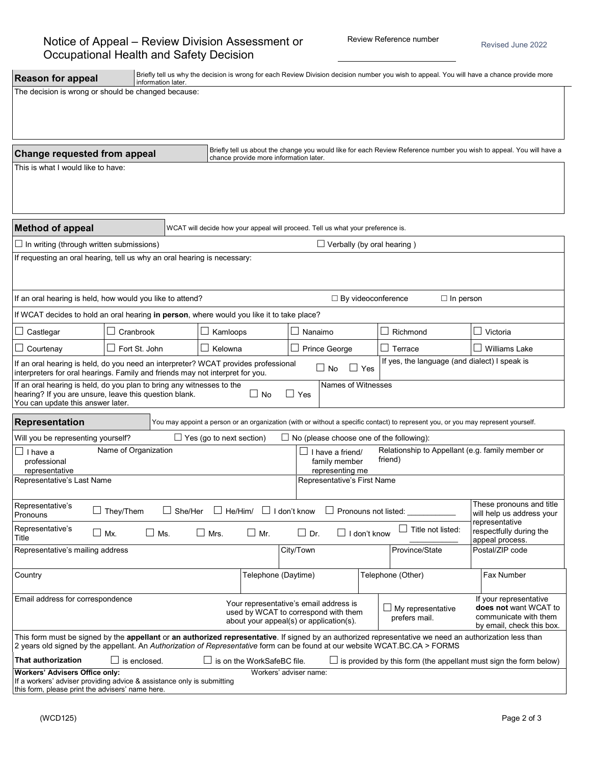| <b>Reason for appeal</b>                                                                                                                                                                                                                                                               | Briefly tell us why the decision is wrong for each Review Division decision number you wish to appeal. You will have a chance provide more<br>information later. |                |                                   |                                                              |                                                                                                                           |                                                |                                                                                                                                   |                                                                                                       |  |  |  |
|----------------------------------------------------------------------------------------------------------------------------------------------------------------------------------------------------------------------------------------------------------------------------------------|------------------------------------------------------------------------------------------------------------------------------------------------------------------|----------------|-----------------------------------|--------------------------------------------------------------|---------------------------------------------------------------------------------------------------------------------------|------------------------------------------------|-----------------------------------------------------------------------------------------------------------------------------------|-------------------------------------------------------------------------------------------------------|--|--|--|
| The decision is wrong or should be changed because:                                                                                                                                                                                                                                    |                                                                                                                                                                  |                |                                   |                                                              |                                                                                                                           |                                                |                                                                                                                                   |                                                                                                       |  |  |  |
|                                                                                                                                                                                                                                                                                        |                                                                                                                                                                  |                |                                   |                                                              |                                                                                                                           |                                                |                                                                                                                                   |                                                                                                       |  |  |  |
|                                                                                                                                                                                                                                                                                        |                                                                                                                                                                  |                |                                   |                                                              |                                                                                                                           |                                                |                                                                                                                                   |                                                                                                       |  |  |  |
|                                                                                                                                                                                                                                                                                        |                                                                                                                                                                  |                |                                   |                                                              |                                                                                                                           |                                                |                                                                                                                                   |                                                                                                       |  |  |  |
| Briefly tell us about the change you would like for each Review Reference number you wish to appeal. You will have a<br>Change requested from appeal<br>chance provide more information later.                                                                                         |                                                                                                                                                                  |                |                                   |                                                              |                                                                                                                           |                                                |                                                                                                                                   |                                                                                                       |  |  |  |
| This is what I would like to have:                                                                                                                                                                                                                                                     |                                                                                                                                                                  |                |                                   |                                                              |                                                                                                                           |                                                |                                                                                                                                   |                                                                                                       |  |  |  |
|                                                                                                                                                                                                                                                                                        |                                                                                                                                                                  |                |                                   |                                                              |                                                                                                                           |                                                |                                                                                                                                   |                                                                                                       |  |  |  |
|                                                                                                                                                                                                                                                                                        |                                                                                                                                                                  |                |                                   |                                                              |                                                                                                                           |                                                |                                                                                                                                   |                                                                                                       |  |  |  |
| <b>Method of appeal</b><br>WCAT will decide how your appeal will proceed. Tell us what your preference is.                                                                                                                                                                             |                                                                                                                                                                  |                |                                   |                                                              |                                                                                                                           |                                                |                                                                                                                                   |                                                                                                       |  |  |  |
| $\Box$ In writing (through written submissions)                                                                                                                                                                                                                                        |                                                                                                                                                                  |                | $\Box$ Verbally (by oral hearing) |                                                              |                                                                                                                           |                                                |                                                                                                                                   |                                                                                                       |  |  |  |
| If requesting an oral hearing, tell us why an oral hearing is necessary:                                                                                                                                                                                                               |                                                                                                                                                                  |                |                                   |                                                              |                                                                                                                           |                                                |                                                                                                                                   |                                                                                                       |  |  |  |
|                                                                                                                                                                                                                                                                                        |                                                                                                                                                                  |                |                                   |                                                              |                                                                                                                           |                                                |                                                                                                                                   |                                                                                                       |  |  |  |
|                                                                                                                                                                                                                                                                                        |                                                                                                                                                                  |                |                                   |                                                              |                                                                                                                           |                                                |                                                                                                                                   |                                                                                                       |  |  |  |
| If an oral hearing is held, how would you like to attend?                                                                                                                                                                                                                              |                                                                                                                                                                  |                |                                   |                                                              | $\Box$ By videoconference<br>$\Box$ In person                                                                             |                                                |                                                                                                                                   |                                                                                                       |  |  |  |
| If WCAT decides to hold an oral hearing in person, where would you like it to take place?                                                                                                                                                                                              |                                                                                                                                                                  |                |                                   |                                                              |                                                                                                                           |                                                |                                                                                                                                   |                                                                                                       |  |  |  |
| Castlegar                                                                                                                                                                                                                                                                              | Cranbrook                                                                                                                                                        |                |                                   | Kamloops                                                     |                                                                                                                           | Nanaimo                                        | Richmond<br>$\Box$                                                                                                                | Victoria                                                                                              |  |  |  |
| Courtenay                                                                                                                                                                                                                                                                              | $\Box$<br>Fort St. John                                                                                                                                          |                | Kelowna                           |                                                              | <b>Prince George</b>                                                                                                      |                                                | $\sim$<br>Terrace                                                                                                                 | <b>Williams Lake</b>                                                                                  |  |  |  |
| If yes, the language (and dialect) I speak is<br>If an oral hearing is held, do you need an interpreter? WCAT provides professional<br>$\Box$ No<br>$\Box$ Yes<br>interpreters for oral hearings. Family and friends may not interpret for you.                                        |                                                                                                                                                                  |                |                                   |                                                              |                                                                                                                           |                                                |                                                                                                                                   |                                                                                                       |  |  |  |
| If an oral hearing is held, do you plan to bring any witnesses to the<br>Names of Witnesses<br>hearing? If you are unsure, leave this question blank.<br>$\square$ No<br>$\Box$ Yes<br>You can update this answer later.                                                               |                                                                                                                                                                  |                |                                   |                                                              |                                                                                                                           |                                                |                                                                                                                                   |                                                                                                       |  |  |  |
| <b>Representation</b>                                                                                                                                                                                                                                                                  |                                                                                                                                                                  |                |                                   |                                                              |                                                                                                                           |                                                | You may appoint a person or an organization (with or without a specific contact) to represent you, or you may represent yourself. |                                                                                                       |  |  |  |
| Will you be representing yourself?                                                                                                                                                                                                                                                     |                                                                                                                                                                  |                | $\Box$ Yes (go to next section)   |                                                              |                                                                                                                           |                                                | $\Box$ No (please choose one of the following):                                                                                   |                                                                                                       |  |  |  |
| I have a<br>professional<br>representative                                                                                                                                                                                                                                             | Name of Organization<br>Relationship to Appellant (e.g. family member or<br>I have a friend/<br>friend)<br>family member                                         |                |                                   |                                                              |                                                                                                                           |                                                |                                                                                                                                   |                                                                                                       |  |  |  |
| Representative's Last Name                                                                                                                                                                                                                                                             |                                                                                                                                                                  |                |                                   |                                                              |                                                                                                                           | representing me<br>Representative's First Name |                                                                                                                                   |                                                                                                       |  |  |  |
|                                                                                                                                                                                                                                                                                        |                                                                                                                                                                  |                |                                   |                                                              |                                                                                                                           |                                                |                                                                                                                                   |                                                                                                       |  |  |  |
| Representative's<br>Pronouns                                                                                                                                                                                                                                                           | They/Them                                                                                                                                                        | $\Box$ She/Her |                                   | $\Box$ He/Him/ $\Box$ I don't know                           |                                                                                                                           | $\Box$ Pronouns not listed:                    |                                                                                                                                   | These pronouns and title<br>will help us address your                                                 |  |  |  |
| Representative's<br>$\square$ Mx.<br>Title                                                                                                                                                                                                                                             | $\square$ Ms.                                                                                                                                                    |                | $\square$ Mrs.                    | representative<br>respectfully during the<br>appeal process. |                                                                                                                           |                                                |                                                                                                                                   |                                                                                                       |  |  |  |
| Representative's mailing address                                                                                                                                                                                                                                                       |                                                                                                                                                                  |                |                                   |                                                              | City/Town                                                                                                                 |                                                | Province/State                                                                                                                    | Postal/ZIP code                                                                                       |  |  |  |
| Country                                                                                                                                                                                                                                                                                |                                                                                                                                                                  |                |                                   | Telephone (Daytime)                                          |                                                                                                                           |                                                | Telephone (Other)                                                                                                                 | Fax Number                                                                                            |  |  |  |
| Email address for correspondence                                                                                                                                                                                                                                                       |                                                                                                                                                                  |                |                                   |                                                              | Your representative's email address is<br>used by WCAT to correspond with them<br>about your appeal(s) or application(s). |                                                | $\Box$ My representative<br>prefers mail.                                                                                         | If your representative<br>does not want WCAT to<br>communicate with them<br>by email, check this box. |  |  |  |
| This form must be signed by the appellant or an authorized representative. If signed by an authorized representative we need an authorization less than<br>2 years old signed by the appellant. An Authorization of Representative form can be found at our website WCAT.BC.CA > FORMS |                                                                                                                                                                  |                |                                   |                                                              |                                                                                                                           |                                                |                                                                                                                                   |                                                                                                       |  |  |  |
| That authorization                                                                                                                                                                                                                                                                     | $\Box$ is enclosed.<br>$\Box$ is on the WorkSafeBC file.<br>$\Box$ is provided by this form (the appellant must sign the form below)                             |                |                                   |                                                              |                                                                                                                           |                                                |                                                                                                                                   |                                                                                                       |  |  |  |
| <b>Workers' Advisers Office only:</b><br>If a workers' adviser providing advice & assistance only is submitting                                                                                                                                                                        |                                                                                                                                                                  |                |                                   |                                                              | Workers' adviser name:                                                                                                    |                                                |                                                                                                                                   |                                                                                                       |  |  |  |
| this form, please print the advisers' name here.                                                                                                                                                                                                                                       |                                                                                                                                                                  |                |                                   |                                                              |                                                                                                                           |                                                |                                                                                                                                   |                                                                                                       |  |  |  |